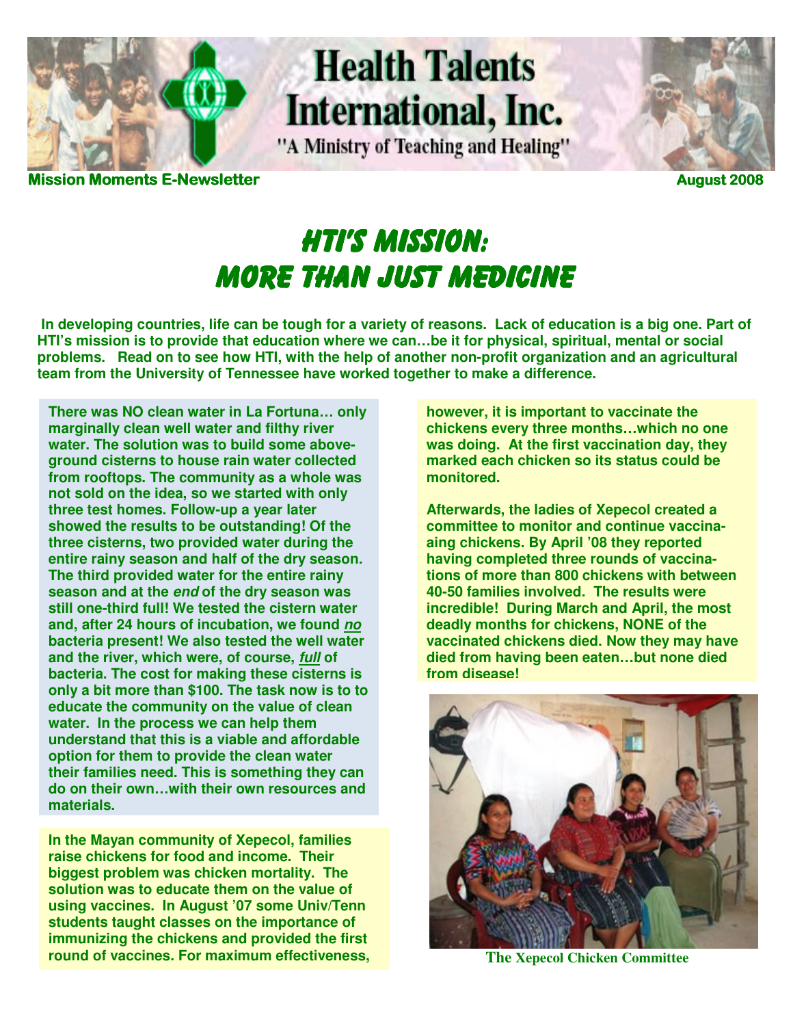

# **Health Talents** International, Inc.

"A Ministry of Teaching and Healing"



**Moments E-Newsletter Newsletter Newsletter Newsletter August 2008** 

# **HTI'S MISSION:** MORE THAN JUST MEDICINE

**In developing countries, life can be tough for a variety of reasons. Lack of education is a big one. Part of HTI's mission is to provide that education where we can…be it for physical, spiritual, mental or social problems. Read on to see how HTI, with the help of another non-profit organization and an agricultural team from the University of Tennessee have worked together to make a difference.** 

**There was NO clean water in La Fortuna… only marginally clean well water and filthy river water. The solution was to build some aboveground cisterns to house rain water collected from rooftops. The community as a whole was not sold on the idea, so we started with only three test homes. Follow-up a year later showed the results to be outstanding! Of the three cisterns, two provided water during the entire rainy season and half of the dry season. The third provided water for the entire rainy season and at the end of the dry season was still one-third full! We tested the cistern water and, after 24 hours of incubation, we found no bacteria present! We also tested the well water and the river, which were, of course, full of bacteria. The cost for making these cisterns is only a bit more than \$100. The task now is to to educate the community on the value of clean water. In the process we can help them understand that this is a viable and affordable option for them to provide the clean water their families need. This is something they can do on their own…with their own resources and materials.**

**The Xepecol Chicken Committee The Xepecol Chicken Committee In the Mayan community of Xepecol, families raise chickens for food and income. Their biggest problem was chicken mortality. The solution was to educate them on the value of using vaccines. In August '07 some Univ/Tenn students taught classes on the importance of immunizing the chickens and provided the first** 

**however, it is important to vaccinate the chickens every three months…which no one was doing. At the first vaccination day, they marked each chicken so its status could be monitored.** 

**Afterwards, the ladies of Xepecol created a committee to monitor and continue vaccinaaing chickens. By April '08 they reported having completed three rounds of vaccinations of more than 800 chickens with between 40-50 families involved. The results were incredible! During March and April, the most deadly months for chickens, NONE of the vaccinated chickens died. Now they may have died from having been eaten…but none died from disease!**

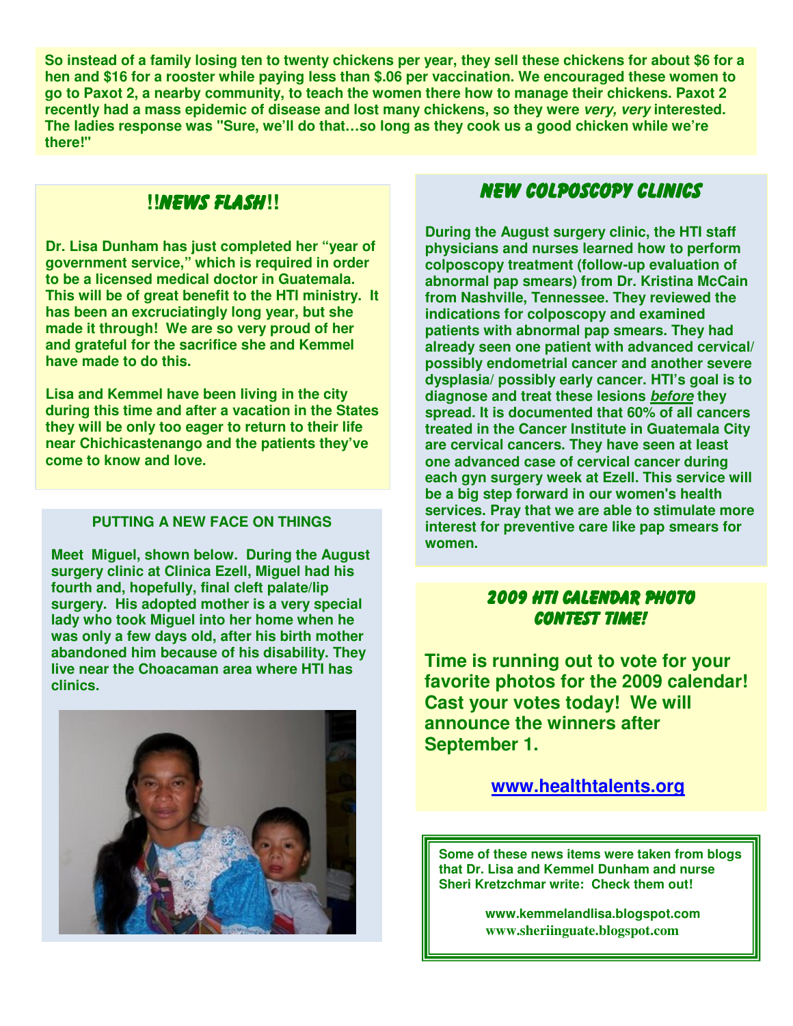**So instead of a family losing ten to twenty chickens per year, they sell these chickens for about \$6 for a hen and \$16 for a rooster while paying less than \$.06 per vaccination. We encouraged these women to go to Paxot 2, a nearby community, to teach the women there how to manage their chickens. Paxot 2 recently had a mass epidemic of disease and lost many chickens, so they were very, very interested. The ladies response was "Sure, we'll do that…so long as they cook us a good chicken while we're there!"** 

# **!!**NEWS FLASH**!!**

**Dr. Lisa Dunham has just completed her "year of government service," which is required in order to be a licensed medical doctor in Guatemala. This will be of great benefit to the HTI ministry. It has been an excruciatingly long year, but she made it through! We are so very proud of her and grateful for the sacrifice she and Kemmel have made to do this.** 

**Lisa and Kemmel have been living in the city during this time and after a vacation in the States they will be only too eager to return to their life near Chichicastenango and the patients they've come to know and love.** 

#### **PUTTING A NEW FACE ON THINGS**

**Meet Miguel, shown below. During the August surgery clinic at Clinica Ezell, Miguel had his fourth and, hopefully, final cleft palate/lip surgery. His adopted mother is a very special lady who took Miguel into her home when he was only a few days old, after his birth mother abandoned him because of his disability. They live near the Choacaman area where HTI has clinics.** 



# New Colposcopy Clinics New Colposcopy Clinics

**During the August surgery clinic, the HTI staff physicians and nurses learned how to perform colposcopy treatment (follow-up evaluation of abnormal pap smears) from Dr. Kristina McCain from Nashville, Tennessee. They reviewed the indications for colposcopy and examined patients with abnormal pap smears. They had already seen one patient with advanced cervical/ possibly endometrial cancer and another severe dysplasia/ possibly early cancer. HTI's goal is to diagnose and treat these lesions before they spread. It is documented that 60% of all cancers treated in the Cancer Institute in Guatemala City are cervical cancers. They have seen at least one advanced case of cervical cancer during each gyn surgery week at Ezell. This service will be a big step forward in our women's health services. Pray that we are able to stimulate more interest for preventive care like pap smears for women.** 

### 2009 HTI 2009 HTI CALENDAR PHOTO CALENDAR PHOTO PHOTO **CONTEST TIME!**

**Time is running out to vote for your favorite photos for the 2009 calendar! Cast your votes today! We will announce the winners after September 1.** 

### **www.healthtalents.org**

**Some of these news items were taken from blogs that Dr. Lisa and Kemmel Dunham and nurse Sheri Kretzchmar write: Check them out!** 

> **www.kemmelandlisa.blogspot.com www.sheriinguate.blogspot.com**